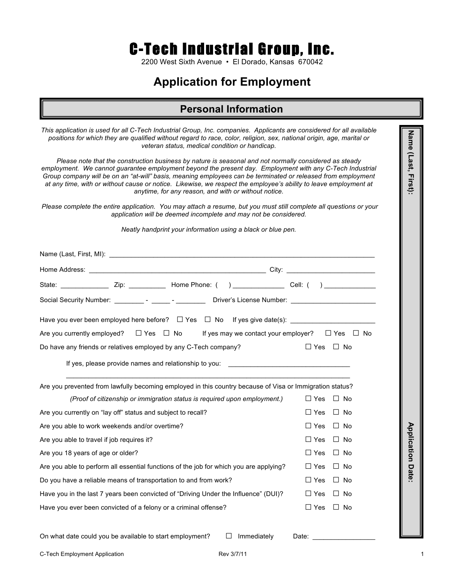# C-Tech Industrial Group, Inc.

2200 West Sixth Avenue • El Dorado, Kansas 670042

## **Application for Employment**

#### **Personal Information**

| This application is used for all C-Tech Industrial Group, Inc. companies. Applicants are considered for all available<br>positions for which they are qualified without regard to race, color, religion, sex, national origin, age, marital or<br>veteran status, medical condition or handicap.                                                                                                                                                                                                               |                           | Name (Last, First): |  |  |  |  |  |  |
|----------------------------------------------------------------------------------------------------------------------------------------------------------------------------------------------------------------------------------------------------------------------------------------------------------------------------------------------------------------------------------------------------------------------------------------------------------------------------------------------------------------|---------------------------|---------------------|--|--|--|--|--|--|
| Please note that the construction business by nature is seasonal and not normally considered as steady<br>employment. We cannot guarantee employment beyond the present day. Employment with any C-Tech Industrial<br>Group company will be on an "at-will" basis, meaning employees can be terminated or released from employment<br>at any time, with or without cause or notice. Likewise, we respect the employee's ability to leave employment at<br>anytime, for any reason, and with or without notice. |                           |                     |  |  |  |  |  |  |
| Please complete the entire application. You may attach a resume, but you must still complete all questions or your<br>application will be deemed incomplete and may not be considered.                                                                                                                                                                                                                                                                                                                         |                           |                     |  |  |  |  |  |  |
| Neatly handprint your information using a black or blue pen.                                                                                                                                                                                                                                                                                                                                                                                                                                                   |                           |                     |  |  |  |  |  |  |
|                                                                                                                                                                                                                                                                                                                                                                                                                                                                                                                |                           |                     |  |  |  |  |  |  |
|                                                                                                                                                                                                                                                                                                                                                                                                                                                                                                                |                           |                     |  |  |  |  |  |  |
|                                                                                                                                                                                                                                                                                                                                                                                                                                                                                                                |                           |                     |  |  |  |  |  |  |
|                                                                                                                                                                                                                                                                                                                                                                                                                                                                                                                |                           |                     |  |  |  |  |  |  |
|                                                                                                                                                                                                                                                                                                                                                                                                                                                                                                                |                           |                     |  |  |  |  |  |  |
| Are you currently employed? $\square$ Yes $\square$ No If yes may we contact your employer? $\square$ Yes $\square$ No                                                                                                                                                                                                                                                                                                                                                                                         |                           |                     |  |  |  |  |  |  |
| Do have any friends or relatives employed by any C-Tech company?                                                                                                                                                                                                                                                                                                                                                                                                                                               | $\Box$ Yes $\Box$ No      |                     |  |  |  |  |  |  |
|                                                                                                                                                                                                                                                                                                                                                                                                                                                                                                                |                           |                     |  |  |  |  |  |  |
| Are you prevented from lawfully becoming employed in this country because of Visa or Immigration status?                                                                                                                                                                                                                                                                                                                                                                                                       |                           |                     |  |  |  |  |  |  |
| (Proof of citizenship or immigration status is required upon employment.)                                                                                                                                                                                                                                                                                                                                                                                                                                      | ⊔ Yes<br>⊔ No             |                     |  |  |  |  |  |  |
| Are you currently on "lay off" status and subject to recall?                                                                                                                                                                                                                                                                                                                                                                                                                                                   | $\Box$ Yes<br>$\Box$ No   |                     |  |  |  |  |  |  |
| Are you able to work weekends and/or overtime?                                                                                                                                                                                                                                                                                                                                                                                                                                                                 | $\Box$ Yes<br>$\Box$ No   |                     |  |  |  |  |  |  |
| Are you able to travel if job requires it?                                                                                                                                                                                                                                                                                                                                                                                                                                                                     | $\Box$ Yes $\Box$ No      | Applica             |  |  |  |  |  |  |
| Are you 18 years of age or older?                                                                                                                                                                                                                                                                                                                                                                                                                                                                              | $\Box$ No<br>$\Box$ Yes   | tion                |  |  |  |  |  |  |
| Are you able to perform all essential functions of the job for which you are applying?                                                                                                                                                                                                                                                                                                                                                                                                                         | $\Box$ Yes<br>No          | Date                |  |  |  |  |  |  |
| Do you have a reliable means of transportation to and from work?                                                                                                                                                                                                                                                                                                                                                                                                                                               | $\Box$ No<br>$\sqcup$ Yes |                     |  |  |  |  |  |  |
| Have you in the last 7 years been convicted of "Driving Under the Influence" (DUI)?                                                                                                                                                                                                                                                                                                                                                                                                                            | $\Box$ No<br>$\Box$ Yes   |                     |  |  |  |  |  |  |
| Have you ever been convicted of a felony or a criminal offense?                                                                                                                                                                                                                                                                                                                                                                                                                                                | $\Box$ Yes<br>$\Box$ No   |                     |  |  |  |  |  |  |
| On what date could you be available to start employment?<br>Immediately                                                                                                                                                                                                                                                                                                                                                                                                                                        | Date:                     |                     |  |  |  |  |  |  |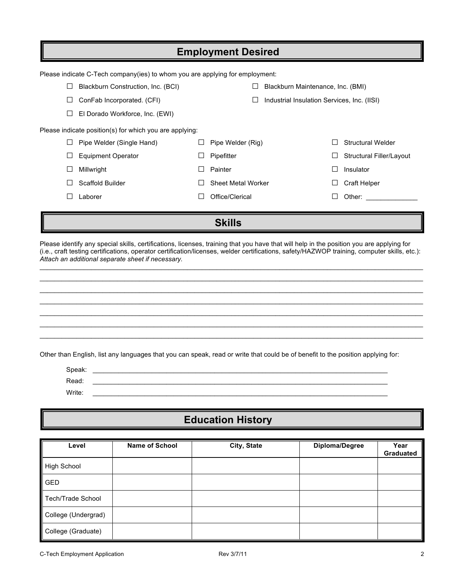| <b>Employment Desired</b>       |                                                                              |              |                    |  |                                             |                          |  |  |
|---------------------------------|------------------------------------------------------------------------------|--------------|--------------------|--|---------------------------------------------|--------------------------|--|--|
|                                 | Please indicate C-Tech company(ies) to whom you are applying for employment: |              |                    |  |                                             |                          |  |  |
|                                 | Blackburn Construction, Inc. (BCI)<br>Blackburn Maintenance, Inc. (BMI)      |              |                    |  |                                             |                          |  |  |
| $\Box$                          | ConFab Incorporated. (CFI)                                                   |              |                    |  | Industrial Insulation Services, Inc. (IISI) |                          |  |  |
| El Dorado Workforce, Inc. (EWI) |                                                                              |              |                    |  |                                             |                          |  |  |
|                                 | Please indicate position(s) for which you are applying:                      |              |                    |  |                                             |                          |  |  |
|                                 | Pipe Welder (Single Hand)                                                    |              | Pipe Welder (Rig)  |  |                                             | <b>Structural Welder</b> |  |  |
|                                 | <b>Equipment Operator</b>                                                    |              | Pipefitter         |  | ⊔                                           | Structural Filler/Layout |  |  |
|                                 | Millwright                                                                   | ΙI           | Painter            |  | $\mathsf{L}$                                | Insulator                |  |  |
|                                 | Scaffold Builder                                                             |              | Sheet Metal Worker |  |                                             | Craft Helper             |  |  |
|                                 | Laborer                                                                      | $\mathsf{L}$ | Office/Clerical    |  | $\Box$                                      | Other:                   |  |  |
|                                 |                                                                              |              |                    |  |                                             |                          |  |  |
|                                 | <b>Skills</b>                                                                |              |                    |  |                                             |                          |  |  |

Please identify any special skills, certifications, licenses, training that you have that will help in the position you are applying for (i.e., craft testing certifications, operator certification/licenses, welder certifications, safety/HAZWOP training, computer skills, etc.): *Attach an additional separate sheet if necessary.*

\_\_\_\_\_\_\_\_\_\_\_\_\_\_\_\_\_\_\_\_\_\_\_\_\_\_\_\_\_\_\_\_\_\_\_\_\_\_\_\_\_\_\_\_\_\_\_\_\_\_\_\_\_\_\_\_\_\_\_\_\_\_\_\_\_\_\_\_\_\_\_\_\_\_\_\_\_\_\_\_\_\_\_\_\_\_\_\_\_\_\_\_\_\_\_\_\_\_\_\_\_\_\_\_ \_\_\_\_\_\_\_\_\_\_\_\_\_\_\_\_\_\_\_\_\_\_\_\_\_\_\_\_\_\_\_\_\_\_\_\_\_\_\_\_\_\_\_\_\_\_\_\_\_\_\_\_\_\_\_\_\_\_\_\_\_\_\_\_\_\_\_\_\_\_\_\_\_\_\_\_\_\_\_\_\_\_\_\_\_\_\_\_\_\_\_\_\_\_\_\_\_\_\_\_\_\_\_\_ \_\_\_\_\_\_\_\_\_\_\_\_\_\_\_\_\_\_\_\_\_\_\_\_\_\_\_\_\_\_\_\_\_\_\_\_\_\_\_\_\_\_\_\_\_\_\_\_\_\_\_\_\_\_\_\_\_\_\_\_\_\_\_\_\_\_\_\_\_\_\_\_\_\_\_\_\_\_\_\_\_\_\_\_\_\_\_\_\_\_\_\_\_\_\_\_\_\_\_\_\_\_\_\_ \_\_\_\_\_\_\_\_\_\_\_\_\_\_\_\_\_\_\_\_\_\_\_\_\_\_\_\_\_\_\_\_\_\_\_\_\_\_\_\_\_\_\_\_\_\_\_\_\_\_\_\_\_\_\_\_\_\_\_\_\_\_\_\_\_\_\_\_\_\_\_\_\_\_\_\_\_\_\_\_\_\_\_\_\_\_\_\_\_\_\_\_\_\_\_\_\_\_\_\_\_\_\_\_ \_\_\_\_\_\_\_\_\_\_\_\_\_\_\_\_\_\_\_\_\_\_\_\_\_\_\_\_\_\_\_\_\_\_\_\_\_\_\_\_\_\_\_\_\_\_\_\_\_\_\_\_\_\_\_\_\_\_\_\_\_\_\_\_\_\_\_\_\_\_\_\_\_\_\_\_\_\_\_\_\_\_\_\_\_\_\_\_\_\_\_\_\_\_\_\_\_\_\_\_\_\_\_\_ \_\_\_\_\_\_\_\_\_\_\_\_\_\_\_\_\_\_\_\_\_\_\_\_\_\_\_\_\_\_\_\_\_\_\_\_\_\_\_\_\_\_\_\_\_\_\_\_\_\_\_\_\_\_\_\_\_\_\_\_\_\_\_\_\_\_\_\_\_\_\_\_\_\_\_\_\_\_\_\_\_\_\_\_\_\_\_\_\_\_\_\_\_\_\_\_\_\_\_\_\_\_\_\_ \_\_\_\_\_\_\_\_\_\_\_\_\_\_\_\_\_\_\_\_\_\_\_\_\_\_\_\_\_\_\_\_\_\_\_\_\_\_\_\_\_\_\_\_\_\_\_\_\_\_\_\_\_\_\_\_\_\_\_\_\_\_\_\_\_\_\_\_\_\_\_\_\_\_\_\_\_\_\_\_\_\_\_\_\_\_\_\_\_\_\_\_\_\_\_\_\_\_\_\_\_\_\_\_

Other than English, list any languages that you can speak, read or write that could be of benefit to the position applying for:

| Speak: |  |
|--------|--|
| Read:  |  |
| Write: |  |

## **Education History**

| Level               | <b>Name of School</b> | City, State | Diploma/Degree | Year<br>Graduated |
|---------------------|-----------------------|-------------|----------------|-------------------|
| High School         |                       |             |                |                   |
| GED                 |                       |             |                |                   |
| Tech/Trade School   |                       |             |                |                   |
| College (Undergrad) |                       |             |                |                   |
| College (Graduate)  |                       |             |                |                   |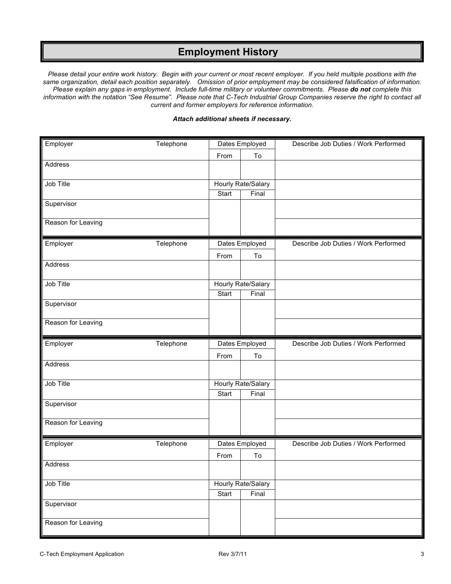#### **Employment History**

*Please detail your entire work history. Begin with your current or most recent employer. If you held multiple positions with the same organization, detail each position separately. Omission of prior employment may be considered falsification of information. Please explain any gaps in employment. Include full-time military or volunteer commitments. Please do not complete this information with the notation "See Resume". Please note that C-Tech Industrial Group Companies reserve the right to contact all current and former employers for reference information.*

#### *Attach additional sheets if necessary.*

| Employer           | Telephone |              | Dates Employed     | Describe Job Duties / Work Performed |
|--------------------|-----------|--------------|--------------------|--------------------------------------|
|                    |           | From         | To                 |                                      |
| Address            |           |              |                    |                                      |
| Job Title          |           |              | Hourly Rate/Salary |                                      |
|                    |           | Start        | Final              |                                      |
| Supervisor         |           |              |                    |                                      |
|                    |           |              |                    |                                      |
| Reason for Leaving |           |              |                    |                                      |
|                    |           |              |                    |                                      |
| Employer           | Telephone |              | Dates Employed     | Describe Job Duties / Work Performed |
| Address            |           | From         | To                 |                                      |
|                    |           |              |                    |                                      |
| Job Title          |           |              | Hourly Rate/Salary |                                      |
|                    |           | <b>Start</b> | Final              |                                      |
| Supervisor         |           |              |                    |                                      |
|                    |           |              |                    |                                      |
| Reason for Leaving |           |              |                    |                                      |
|                    |           |              |                    |                                      |
|                    | Telephone |              |                    | Describe Job Duties / Work Performed |
| Employer           |           |              | Dates Employed     |                                      |
| Address            |           | From         | To                 |                                      |
|                    |           |              |                    |                                      |
| Job Title          |           |              | Hourly Rate/Salary |                                      |
|                    |           | Start        | Final              |                                      |
| Supervisor         |           |              |                    |                                      |
|                    |           |              |                    |                                      |
| Reason for Leaving |           |              |                    |                                      |
| Employer           | Telephone |              | Dates Employed     | Describe Job Duties / Work Performed |
|                    |           | From         | To                 |                                      |
| Address            |           |              |                    |                                      |
|                    |           |              |                    |                                      |
| Job Title          |           |              | Hourly Rate/Salary |                                      |
|                    |           | Start        | Final              |                                      |
| Supervisor         |           |              |                    |                                      |
| Reason for Leaving |           |              |                    |                                      |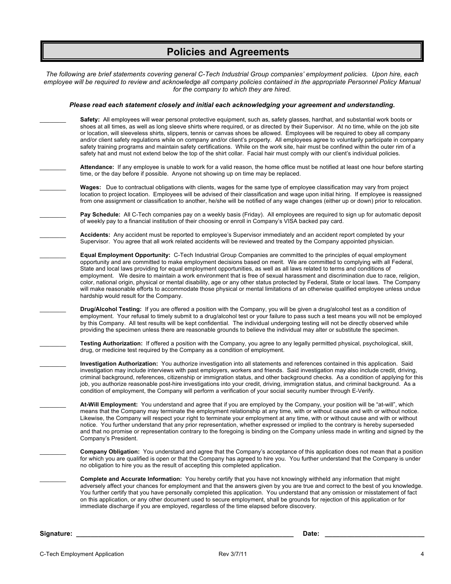## **Policies and Agreements**

|            | The following are brief statements covering general C-Tech Industrial Group companies' employment policies. Upon hire, each<br>employee will be required to review and acknowledge all company policies contained in the appropriate Personnel Policy Manual<br>for the company to which they are hired.                                                                                                                                                                                                                                                                                                                                                                                                                                                                                                                                  |
|------------|-------------------------------------------------------------------------------------------------------------------------------------------------------------------------------------------------------------------------------------------------------------------------------------------------------------------------------------------------------------------------------------------------------------------------------------------------------------------------------------------------------------------------------------------------------------------------------------------------------------------------------------------------------------------------------------------------------------------------------------------------------------------------------------------------------------------------------------------|
|            | Please read each statement closely and initial each acknowledging your agreement and understanding.                                                                                                                                                                                                                                                                                                                                                                                                                                                                                                                                                                                                                                                                                                                                       |
|            | Safety: All employees will wear personal protective equipment, such as, safety glasses, hardhat, and substantial work boots or<br>shoes at all times, as well as long sleeve shirts where required, or as directed by their Supervisor. At no time, while on the job site<br>or location, will sleeveless shirts, slippers, tennis or canvas shoes be allowed. Employees will be required to obey all company<br>and/or client safety regulations while on company and/or client's property. All employees agree to voluntarily participate in company<br>safety training programs and maintain safety certifications. While on the work site, hair must be confined within the outer rim of a<br>safety hat and must not extend below the top of the shirt collar. Facial hair must comply with our client's individual policies.        |
|            | Attendance: If any employee is unable to work for a valid reason, the home office must be notified at least one hour before starting<br>time, or the day before if possible. Anyone not showing up on time may be replaced.                                                                                                                                                                                                                                                                                                                                                                                                                                                                                                                                                                                                               |
|            | Wages: Due to contractual obligations with clients, wages for the same type of employee classification may vary from project<br>location to project location. Employees will be advised of their classification and wage upon initial hiring. If employee is reassigned<br>from one assignment or classification to another, he/she will be notified of any wage changes (either up or down) prior to relocation.                                                                                                                                                                                                                                                                                                                                                                                                                         |
|            | Pay Schedule: All C-Tech companies pay on a weekly basis (Friday). All employees are required to sign up for automatic deposit<br>of weekly pay to a financial institution of their choosing or enroll in Company's VISA backed pay card.                                                                                                                                                                                                                                                                                                                                                                                                                                                                                                                                                                                                 |
|            | Accidents: Any accident must be reported to employee's Supervisor immediately and an accident report completed by your<br>Supervisor. You agree that all work related accidents will be reviewed and treated by the Company appointed physician.                                                                                                                                                                                                                                                                                                                                                                                                                                                                                                                                                                                          |
|            | Equal Employment Opportunity: C-Tech Industrial Group Companies are committed to the principles of equal employment<br>opportunity and are committed to make employment decisions based on merit. We are committed to complying with all Federal,<br>State and local laws providing for equal employment opportunities, as well as all laws related to terms and conditions of<br>employment. We desire to maintain a work environment that is free of sexual harassment and discrimination due to race, religion,<br>color, national origin, physical or mental disability, age or any other status protected by Federal, State or local laws. The Company<br>will make reasonable efforts to accommodate those physical or mental limitations of an otherwise qualified employee unless undue<br>hardship would result for the Company. |
|            | Drug/Alcohol Testing: If you are offered a position with the Company, you will be given a drug/alcohol test as a condition of<br>employment. Your refusal to timely submit to a drug/alcohol test or your failure to pass such a test means you will not be employed<br>by this Company. All test results will be kept confidential. The individual undergoing testing will not be directly observed while<br>providing the specimen unless there are reasonable grounds to believe the individual may alter or substitute the specimen.                                                                                                                                                                                                                                                                                                  |
|            | Testing Authorization: If offered a position with the Company, you agree to any legally permitted physical, psychological, skill,<br>drug, or medicine test required by the Company as a condition of employment.                                                                                                                                                                                                                                                                                                                                                                                                                                                                                                                                                                                                                         |
|            | Investigation Authorization: You authorize investigation into all statements and references contained in this application. Said<br>investigation may include interviews with past employers, workers and friends. Said investigation may also include credit, driving,<br>criminal background, references, citizenship or immigration status, and other background checks. As a condition of applying for this<br>job, you authorize reasonable post-hire investigations into your credit, driving, immigration status, and criminal background. As a<br>condition of employment, the Company will perform a verification of your social security number through E-Verify.                                                                                                                                                                |
|            | At-Will Employment: You understand and agree that if you are employed by the Company, your position will be "at-will", which<br>means that the Company may terminate the employment relationship at any time, with or without cause and with or without notice.<br>Likewise, the Company will respect your right to terminate your employment at any time, with or without cause and with or without<br>notice. You further understand that any prior representation, whether expressed or implied to the contrary is hereby superseded<br>and that no promise or representation contrary to the foregoing is binding on the Company unless made in writing and signed by the<br>Company's President.                                                                                                                                     |
|            | Company Obligation: You understand and agree that the Company's acceptance of this application does not mean that a position<br>for which you are qualified is open or that the Company has agreed to hire you. You further understand that the Company is under<br>no obligation to hire you as the result of accepting this completed application.                                                                                                                                                                                                                                                                                                                                                                                                                                                                                      |
|            | <b>Complete and Accurate Information:</b> You hereby certify that you have not knowingly withheld any information that might<br>adversely affect your chances for employment and that the answers given by you are true and correct to the best of you knowledge.<br>You further certify that you have personally completed this application. You understand that any omission or misstatement of fact<br>on this application, or any other document used to secure employment, shall be grounds for rejection of this application or for<br>immediate discharge if you are employed, regardless of the time elapsed before discovery.                                                                                                                                                                                                    |
| Signature: | Date:                                                                                                                                                                                                                                                                                                                                                                                                                                                                                                                                                                                                                                                                                                                                                                                                                                     |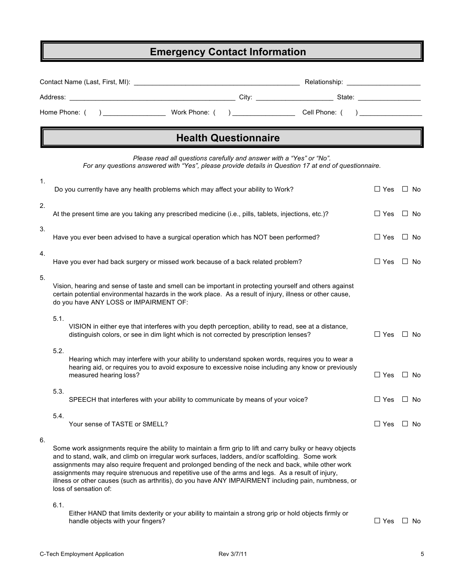### **Emergency Contact Information**

|          |                       |                                        | Contact Name (Last, First, MI): Note that the state of the state of the state of the state of the state of the state of the state of the state of the state of the state of the state of the state of the state of the state o |                             | Relationship:                                                                                                                                                                                                                                                                                                            |            |                      |
|----------|-----------------------|----------------------------------------|--------------------------------------------------------------------------------------------------------------------------------------------------------------------------------------------------------------------------------|-----------------------------|--------------------------------------------------------------------------------------------------------------------------------------------------------------------------------------------------------------------------------------------------------------------------------------------------------------------------|------------|----------------------|
| Address: |                       |                                        |                                                                                                                                                                                                                                |                             | City: 2008. The State: 2008. The State: 2008. The State: 2008. The State: 2008. The State: 2008. The State: 2008. The State: 2008. The State: 2008. The State: 2008. The State: 2008. The State: 2008. The State: 2008. The St                                                                                           |            |                      |
|          | Home Phone: (         |                                        |                                                                                                                                                                                                                                |                             |                                                                                                                                                                                                                                                                                                                          |            |                      |
|          |                       |                                        |                                                                                                                                                                                                                                | <b>Health Questionnaire</b> |                                                                                                                                                                                                                                                                                                                          |            |                      |
|          |                       |                                        | Please read all questions carefully and answer with a "Yes" or "No".                                                                                                                                                           |                             | For any questions answered with "Yes", please provide details in Question 17 at end of questionnaire.                                                                                                                                                                                                                    |            |                      |
| 1.       |                       |                                        | Do you currently have any health problems which may affect your ability to Work?                                                                                                                                               |                             |                                                                                                                                                                                                                                                                                                                          | $\Box$ Yes | $\Box$ No            |
| 2.       |                       |                                        | At the present time are you taking any prescribed medicine (i.e., pills, tablets, injections, etc.)?                                                                                                                           |                             |                                                                                                                                                                                                                                                                                                                          | $\Box$ Yes | $\Box$ No            |
| 3.       |                       |                                        | Have you ever been advised to have a surgical operation which has NOT been performed?                                                                                                                                          |                             |                                                                                                                                                                                                                                                                                                                          | $\Box$ Yes | $\Box$ No            |
| 4.       |                       |                                        | Have you ever had back surgery or missed work because of a back related problem?                                                                                                                                               |                             |                                                                                                                                                                                                                                                                                                                          | $\Box$ Yes | $\Box$ No            |
| 5.       |                       | do you have ANY LOSS or IMPAIRMENT OF: |                                                                                                                                                                                                                                |                             | Vision, hearing and sense of taste and smell can be important in protecting yourself and others against<br>certain potential environmental hazards in the work place. As a result of injury, illness or other cause,                                                                                                     |            |                      |
| 5.1.     |                       |                                        | distinguish colors, or see in dim light which is not corrected by prescription lenses?                                                                                                                                         |                             | VISION in either eye that interferes with you depth perception, ability to read, see at a distance,                                                                                                                                                                                                                      | $\Box$ Yes | $\Box$ No            |
| 5.2.     |                       | measured hearing loss?                 |                                                                                                                                                                                                                                |                             | Hearing which may interfere with your ability to understand spoken words, requires you to wear a<br>hearing aid, or requires you to avoid exposure to excessive noise including any know or previously                                                                                                                   | $\Box$ Yes | $\Box$ No            |
| 5.3.     |                       |                                        | SPEECH that interferes with your ability to communicate by means of your voice?                                                                                                                                                |                             |                                                                                                                                                                                                                                                                                                                          |            | $\Box$ Yes $\Box$ No |
| 5.4.     |                       | Your sense of TASTE or SMELL?          |                                                                                                                                                                                                                                |                             |                                                                                                                                                                                                                                                                                                                          | $\Box$ Yes | ⊔ No                 |
| 6.       | loss of sensation of: |                                        | and to stand, walk, and climb on irregular work surfaces, ladders, and/or scaffolding. Some work<br>assignments may require strenuous and repetitive use of the arms and legs. As a result of injury,                          |                             | Some work assignments require the ability to maintain a firm grip to lift and carry bulky or heavy objects<br>assignments may also require frequent and prolonged bending of the neck and back, while other work<br>illness or other causes (such as arthritis), do you have ANY IMPAIRMENT including pain, numbness, or |            |                      |
| 6.1.     |                       |                                        |                                                                                                                                                                                                                                |                             | Either HAND that limite devterity or your ability to maintain a strong arin or hold objects firmly or                                                                                                                                                                                                                    |            |                      |

Either HAND that limits dexterity or your ability to maintain a strong grip or hold objects firmly or handle objects with your fingers? □ Yes □ No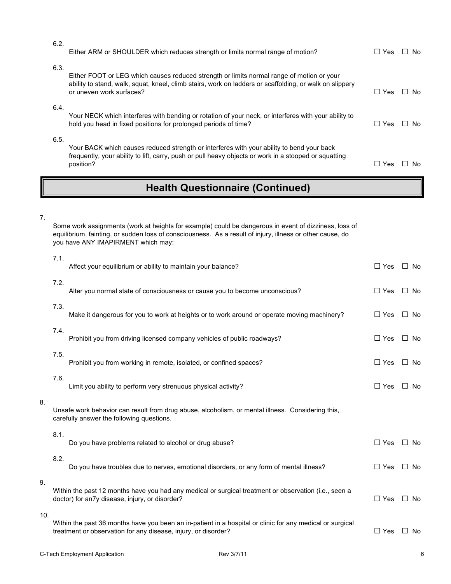| 6.2. | Either ARM or SHOULDER which reduces strength or limits normal range of motion?                                                                                                                                                  | $\square$ Yes | No.    |
|------|----------------------------------------------------------------------------------------------------------------------------------------------------------------------------------------------------------------------------------|---------------|--------|
| 6.3. | Either FOOT or LEG which causes reduced strength or limits normal range of motion or your<br>ability to stand, walk, squat, kneel, climb stairs, work on ladders or scaffolding, or walk on slippery<br>or uneven work surfaces? | $\Box$ Yes    | l I No |
| 6.4. | Your NECK which interferes with bending or rotation of your neck, or interferes with your ability to<br>hold you head in fixed positions for prolonged periods of time?                                                          | $\Box$ Yes    | No.    |
| 6.5. | Your BACK which causes reduced strength or interferes with your ability to bend your back<br>frequently, your ability to lift, carry, push or pull heavy objects or work in a stooped or squatting<br>position?                  | Yes           | N٥     |

### **Health Questionnaire (Continued)**

7.

8.

9.

Some work assignments (work at heights for example) could be dangerous in event of dizziness, loss of equilibrium, fainting, or sudden loss of consciousness. As a result of injury, illness or other cause, do you have ANY IMAPIRMENT which may:

|     | 7.1. | Affect your equilibrium or ability to maintain your balance?                                                                                                                | $\Box$ Yes $\Box$ No |                |
|-----|------|-----------------------------------------------------------------------------------------------------------------------------------------------------------------------------|----------------------|----------------|
|     | 7.2. | Alter you normal state of consciousness or cause you to become unconscious?                                                                                                 | $\Box$ Yes           | ∐ No           |
|     | 7.3. | Make it dangerous for you to work at heights or to work around or operate moving machinery?                                                                                 | $\Box$ Yes           | $\Box$ No      |
|     | 7.4. | Prohibit you from driving licensed company vehicles of public roadways?                                                                                                     | $\Box$ Yes           | No<br>$\Box$   |
|     | 7.5. | Prohibit you from working in remote, isolated, or confined spaces?                                                                                                          | $\Box$ Yes           | $\Box$<br>No   |
|     | 7.6. | Limit you ability to perform very strenuous physical activity?                                                                                                              | $\Box$ Yes           | $\perp$<br>No. |
| 8.  |      | Unsafe work behavior can result from drug abuse, alcoholism, or mental illness. Considering this,<br>carefully answer the following questions.                              |                      |                |
|     | 8.1. | Do you have problems related to alcohol or drug abuse?                                                                                                                      | $\Box$ Yes           | $\Box$ No      |
|     | 8.2. | Do you have troubles due to nerves, emotional disorders, or any form of mental illness?                                                                                     | $\Box$ Yes           | $\Box$<br>No   |
| 9.  |      | Within the past 12 months have you had any medical or surgical treatment or observation (i.e., seen a<br>doctor) for an7y disease, injury, or disorder?                     | $\Box$ Yes           | $\Box$<br>No.  |
| 10. |      | Within the past 36 months have you been an in-patient in a hospital or clinic for any medical or surgical<br>treatment or observation for any disease, injury, or disorder? | $\Box$ Yes           | $\Box$<br>No   |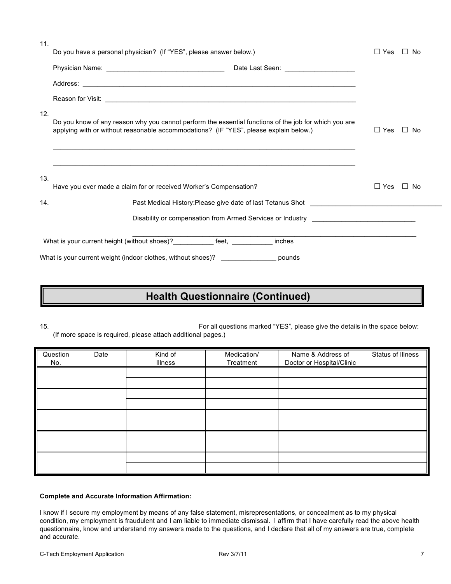| 11. | Do you have a personal physician? (If "YES", please answer below.)                                                                                                                             | $\Box$ Yes    | $\Box$ No |
|-----|------------------------------------------------------------------------------------------------------------------------------------------------------------------------------------------------|---------------|-----------|
|     |                                                                                                                                                                                                |               |           |
|     |                                                                                                                                                                                                |               |           |
|     |                                                                                                                                                                                                |               |           |
| 12. | Do you know of any reason why you cannot perform the essential functions of the job for which you are<br>applying with or without reasonable accommodations? (IF "YES", please explain below.) | $\Box$ Yes    | $\Box$ No |
| 13. | Have you ever made a claim for or received Worker's Compensation?                                                                                                                              | $\square$ Yes | ∐ No      |
| 14. | Past Medical History:Please give date of last Tetanus Shot                                                                                                                                     |               |           |
|     | Disability or compensation from Armed Services or Industry _____________________                                                                                                               |               |           |
|     | What is your current height (without shoes)? ____________ feet, __________<br>inches                                                                                                           |               |           |
|     | What is your current weight (indoor clothes, without shoes)? ___________________ pounds                                                                                                        |               |           |

### **Health Questionnaire (Continued)**

15. For all questions marked "YES", please give the details in the space below: (If more space is required, please attach additional pages.)

| Question<br>No. | Date | Kind of<br><b>Illness</b> | Medication/<br>Treatment | Name & Address of<br>Doctor or Hospital/Clinic | Status of Illness |
|-----------------|------|---------------------------|--------------------------|------------------------------------------------|-------------------|
|                 |      |                           |                          |                                                |                   |
|                 |      |                           |                          |                                                |                   |
|                 |      |                           |                          |                                                |                   |
|                 |      |                           |                          |                                                |                   |
|                 |      |                           |                          |                                                |                   |
|                 |      |                           |                          |                                                |                   |
|                 |      |                           |                          |                                                |                   |
|                 |      |                           |                          |                                                |                   |
|                 |      |                           |                          |                                                |                   |
|                 |      |                           |                          |                                                |                   |

#### **Complete and Accurate Information Affirmation:**

I know if I secure my employment by means of any false statement, misrepresentations, or concealment as to my physical condition, my employment is fraudulent and I am liable to immediate dismissal. I affirm that I have carefully read the above health questionnaire, know and understand my answers made to the questions, and I declare that all of my answers are true, complete and accurate.